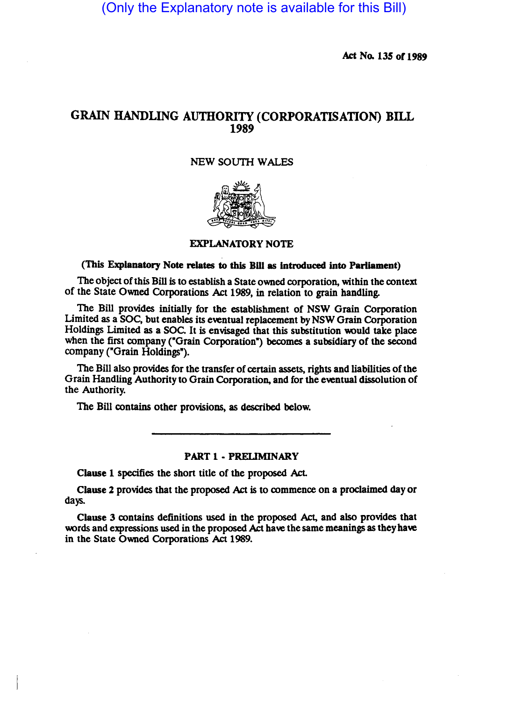(Only the Explanatory note is available for this Bill)

Act No. 135 of 1989

# GRAIN HANDLING AUTHORITY (CORPORATISATION) BILL 1989

## NEW SOUTH WALES



#### EXPLANATORY NOTE

## (This Explanatory Note relates to this Bill as introduced into Parliament)

The object of this Bill is to establish a State owned corporation, within the context of the State Owned Corporations Act 1989, in relation to grain handling.

The Bill provides initially for the establishment of NSW Grain Corporation Limited as a SOc, but enables its eventual replacement by NSW Grain Corporation Holdings Limited as a SOC. It is envisaged that this substitution would take place when the first company ("Grain Corporation") becomes a subsidiary of the second company ("Grain Holdings").

The Bill also provides for the transfer of certain assets, rights and liabilities of the Grain Handling Authority to Grain Corporation, and for the eventual dissolution of the Authority.

The Bill contains other provisions, as described below.

### PART 1 - PRELIMINARY

Clause 1 specifies the short title of the proposed Act.

Clause 2 provides that the proposed Act is to commence on a proclaimed day or days.

Clause 3 contains definitions used in the proposed Act, and also provides that words and expressions used in the proposed Act have the same meanings as they have in the State Owned Corporations Act 1989.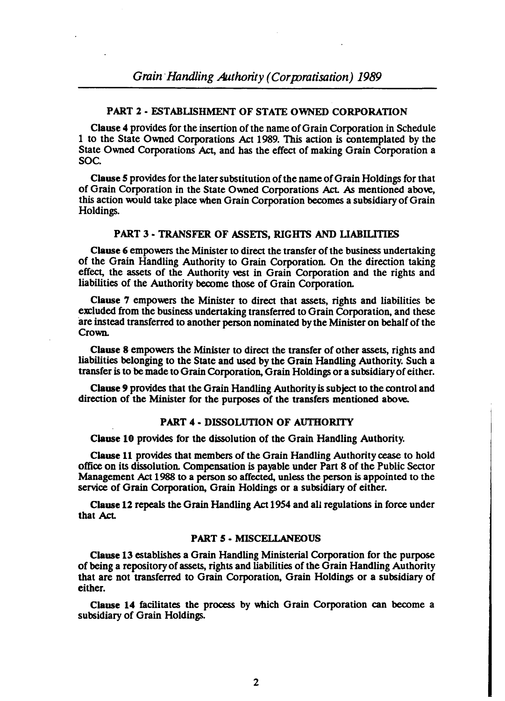## PART 2 • ESTABUSHMENT OF STATE OWNED CORPORATION

Clause 4 provides for the insenion of the name of Grain Corporation in Schedule 1 to the State Owned Corporations Act 1989. This action is contemplated by the State Owned Corporations Act, and has the effect of making Grain Corporation a SOc.

Clause *S* provides for the later substitution of the name of Grain Holdings for that of Grain Corporation in the State Owned Corporations Act. As mentioned above, this action would take place when Grain Corporation becomes a subsidiary of Grain Holdings.

#### PART 3 - TRANSFER OF ASSETS, RIGHTS AND LIABILITIES

Clause 6 empowers the Minister to direct the transfer of the business undertaking of the Grain Handling Authority to Grain Corporation. On the direction taking effect, the assets of the Authority vest in Grain Corporation and the rights and liabilities of the Authority become those of Grain Corporation.

Clause 7 empowers the Minister to direct that assets, rights and liabilities be excluded from the business undertaking transferred to Grain Corporation, and these are instead transferred to another person nominated by the Minister on behalf of the Crown.

Clause 8' empowers the Minister to direct the transfer of other assets, rights and liabilities belonging to the State and used by the Grain Handling Authority. Such a transfer is to be made to Grain Corporation, Grain Holdings or a subsidiary of either.

Clause 9 provides that the Grain Handling Authority is subject to the control and direction of the Minister for the purposes of the transfers mentioned above.

#### PART 4 - DISSOLUTION OF AUTHORITY

Clause 10 provides for the dissolution of the Grain Handling Authority.

Clause 11 provides that members of the Grain Handling Authority cease to hold office on its dissolution. Compensation is payable under Pan 8 of the Public Sector Management Act 1988 to a person so affected, unless the person is appointed to the service of Grain Corporation, Grain Holdings or a subsidiary of either.

Clause 12 repeals the Grain Handling Act 1954 and all regulations in force under that Act.

#### PART *S·* MISCELLANEOUS

Clause 13 establishes a Grain Handling Ministerial Corporation for the purpose of being a repository of assets, rights and liabilities of the Grain Handling Authority that are not transferred to Grain Corporation, Grain Holdings or a subsidiary of either.

Clause 14 facilitates the process by which Grain Corporation can become a subsidiary of Grain Holdings.